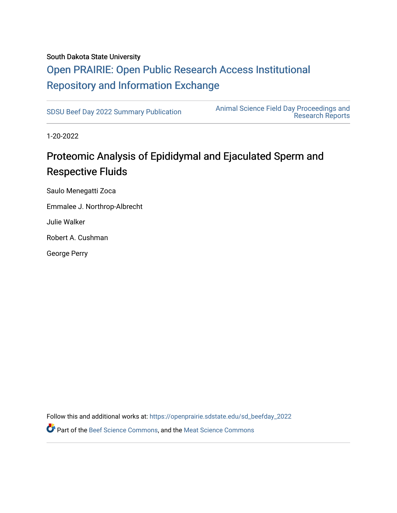#### South Dakota State University

## [Open PRAIRIE: Open Public Research Access Institutional](https://openprairie.sdstate.edu/)  [Repository and Information Exchange](https://openprairie.sdstate.edu/)

[SDSU Beef Day 2022 Summary Publication](https://openprairie.sdstate.edu/sd_beefday_2022) [Animal Science Field Day Proceedings and](https://openprairie.sdstate.edu/ans_reports)  [Research Reports](https://openprairie.sdstate.edu/ans_reports) 

1-20-2022

### Proteomic Analysis of Epididymal and Ejaculated Sperm and Respective Fluids

Saulo Menegatti Zoca Emmalee J. Northrop-Albrecht Julie Walker

Robert A. Cushman

George Perry

Follow this and additional works at: [https://openprairie.sdstate.edu/sd\\_beefday\\_2022](https://openprairie.sdstate.edu/sd_beefday_2022?utm_source=openprairie.sdstate.edu%2Fsd_beefday_2022%2F10&utm_medium=PDF&utm_campaign=PDFCoverPages) 

**P** Part of the [Beef Science Commons,](http://network.bepress.com/hgg/discipline/1404?utm_source=openprairie.sdstate.edu%2Fsd_beefday_2022%2F10&utm_medium=PDF&utm_campaign=PDFCoverPages) and the [Meat Science Commons](http://network.bepress.com/hgg/discipline/1301?utm_source=openprairie.sdstate.edu%2Fsd_beefday_2022%2F10&utm_medium=PDF&utm_campaign=PDFCoverPages)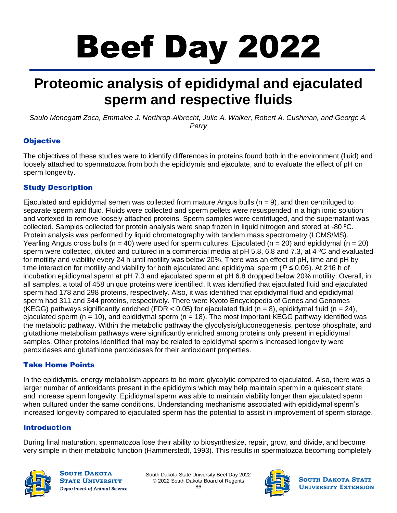# Beef Day 2022

# **Proteomic analysis of epididymal and ejaculated sperm and respective fluids**

*Saulo Menegatti Zoca, Emmalee J. Northrop-Albrecht, Julie A. Walker, Robert A. Cushman, and George A. Perry*

#### **Objective**

The objectives of these studies were to identify differences in proteins found both in the environment (fluid) and loosely attached to spermatozoa from both the epididymis and ejaculate, and to evaluate the effect of pH on sperm longevity.

#### Study Description

Ejaculated and epididymal semen was collected from mature Angus bulls  $(n = 9)$ , and then centrifuged to separate sperm and fluid. Fluids were collected and sperm pellets were resuspended in a high ionic solution and vortexed to remove loosely attached proteins. Sperm samples were centrifuged, and the supernatant was collected. Samples collected for protein analysis were snap frozen in liquid nitrogen and stored at -80 °C. Protein analysis was performed by liquid chromatography with tandem mass spectrometry (LCMS/MS). Yearling Angus cross bulls (n = 40) were used for sperm cultures. Eiaculated (n = 20) and epididymal (n = 20) sperm were collected, diluted and cultured in a commercial media at pH 5.8, 6.8 and 7.3, at 4 °C and evaluated for motility and viability every 24 h until motility was below 20%. There was an effect of pH, time and pH by time interaction for motility and viability for both ejaculated and epididymal sperm (*P* ≤ 0.05). At 216 h of incubation epididymal sperm at pH 7.3 and ejaculated sperm at pH 6.8 dropped below 20% motility. Overall, in all samples, a total of 458 unique proteins were identified. It was identified that ejaculated fluid and ejaculated sperm had 178 and 298 proteins, respectively. Also, it was identified that epididymal fluid and epididymal sperm had 311 and 344 proteins, respectively. There were Kyoto Encyclopedia of Genes and Genomes (KEGG) pathways significantly enriched (FDR < 0.05) for ejaculated fluid (n = 8), epididymal fluid (n = 24), ejaculated sperm ( $n = 10$ ), and epididymal sperm ( $n = 18$ ). The most important KEGG pathway identified was the metabolic pathway. Within the metabolic pathway the glycolysis/gluconeogenesis, pentose phosphate, and glutathione metabolism pathways were significantly enriched among proteins only present in epididymal samples. Other proteins identified that may be related to epididymal sperm's increased longevity were peroxidases and glutathione peroxidases for their antioxidant properties.

#### Take Home Points

In the epididymis, energy metabolism appears to be more glycolytic compared to ejaculated. Also, there was a larger number of antioxidants present in the epididymis which may help maintain sperm in a quiescent state and increase sperm longevity. Epididymal sperm was able to maintain viability longer than ejaculated sperm when cultured under the same conditions. Understanding mechanisms associated with epididymal sperm's increased longevity compared to ejaculated sperm has the potential to assist in improvement of sperm storage.

#### Introduction

During final maturation, spermatozoa lose their ability to biosynthesize, repair, grow, and divide, and become very simple in their metabolic function (Hammerstedt, 1993). This results in spermatozoa becoming completely



**SOUTH DAKOTA STATE UNIVERSITY Department of Animal Science** 

South Dakota State University Beef Day 2022 © 2022 South Dakota Board of Regents 86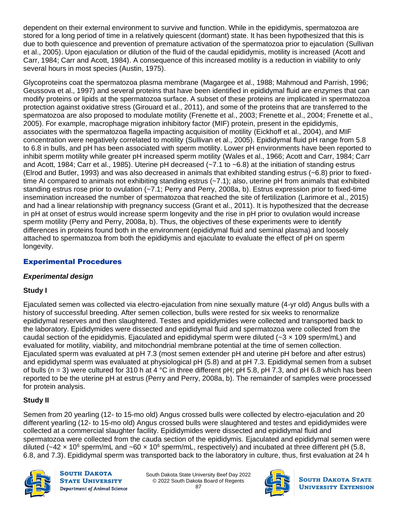dependent on their external environment to survive and function. While in the epididymis, spermatozoa are stored for a long period of time in a relatively quiescent (dormant) state. It has been hypothesized that this is due to both quiescence and prevention of premature activation of the spermatozoa prior to ejaculation (Sullivan et al., 2005). Upon ejaculation or dilution of the fluid of the caudal epididymis, motility is increased (Acott and Carr, 1984; Carr and Acott, 1984). A consequence of this increased motility is a reduction in viability to only several hours in most species (Austin, 1975).

Glycoproteins coat the spermatozoa plasma membrane (Magargee et al., 1988; Mahmoud and Parrish, 1996; Geussova et al., 1997) and several proteins that have been identified in epididymal fluid are enzymes that can modify proteins or lipids at the spermatozoa surface. A subset of these proteins are implicated in spermatozoa protection against oxidative stress (Girouard et al., 2011), and some of the proteins that are transferred to the spermatozoa are also proposed to modulate motility (Frenette et al., 2003; Frenette et al., 2004; Frenette et al., 2005). For example, macrophage migration inhibitory factor (MIF) protein, present in the epididymis, associates with the spermatozoa flagella impacting acquisition of motility (Eickhoff et al., 2004), and MIF concentration were negatively correlated to motility (Sullivan et al., 2005). Epididymal fluid pH range from 5.8 to 6.8 in bulls, and pH has been associated with sperm motility. Lower pH environments have been reported to inhibit sperm motility while greater pH increased sperm motility (Wales et al., 1966; Acott and Carr, 1984; Carr and Acott, 1984; Carr et al., 1985). Uterine pH decreased (~7.1 to ~6.8) at the initiation of standing estrus (Elrod and Butler, 1993) and was also decreased in animals that exhibited standing estrus (~6.8) prior to fixedtime AI compared to animals not exhibiting standing estrus (~7.1); also, uterine pH from animals that exhibited standing estrus rose prior to ovulation (~7.1; Perry and Perry, 2008a, b). Estrus expression prior to fixed-time insemination increased the number of spermatozoa that reached the site of fertilization (Larimore et al., 2015) and had a linear relationship with pregnancy success (Grant et al., 2011). It is hypothesized that the decrease in pH at onset of estrus would increase sperm longevity and the rise in pH prior to ovulation would increase sperm motility (Perry and Perry, 2008a, b). Thus, the objectives of these experiments were to identify differences in proteins found both in the environment (epididymal fluid and seminal plasma) and loosely attached to spermatozoa from both the epididymis and ejaculate to evaluate the effect of pH on sperm longevity.

#### Experimental Procedures

#### *Experimental design*

#### **Study I**

Ejaculated semen was collected via electro-ejaculation from nine sexually mature (4-yr old) Angus bulls with a history of successful breeding. After semen collection, bulls were rested for six weeks to renormalize epididymal reserves and then slaughtered. Testes and epididymides were collected and transported back to the laboratory. Epididymides were dissected and epididymal fluid and spermatozoa were collected from the caudal section of the epididymis. Ejaculated and epididymal sperm were diluted ( $\sim$ 3  $\times$  109 sperm/mL) and evaluated for motility, viability, and mitochondrial membrane potential at the time of semen collection. Ejaculated sperm was evaluated at pH 7.3 (most semen extender pH and uterine pH before and after estrus) and epididymal sperm was evaluated at physiological pH (5.8) and at pH 7.3. Epididymal semen from a subset of bulls (n = 3) were cultured for 310 h at 4 °C in three different pH; pH 5.8, pH 7.3, and pH 6.8 which has been reported to be the uterine pH at estrus (Perry and Perry, 2008a, b). The remainder of samples were processed for protein analysis.

#### **Study II**

Semen from 20 yearling (12- to 15-mo old) Angus crossed bulls were collected by electro-ejaculation and 20 different yearling (12- to 15-mo old) Angus crossed bulls were slaughtered and testes and epididymides were collected at a commercial slaughter facility. Epididymides were dissected and epididymal fluid and spermatozoa were collected from the cauda section of the epididymis. Ejaculated and epididymal semen were diluted (~42 x 10<sup>6</sup> sperm/mL and ~60 x 10<sup>6</sup> sperm/mL, respectively) and incubated at three different pH (5.8, 6.8, and 7.3). Epididymal sperm was transported back to the laboratory in culture, thus, first evaluation at 24 h



**SOUTH DAKOTA STATE UNIVERSITY** Department of Animal Science

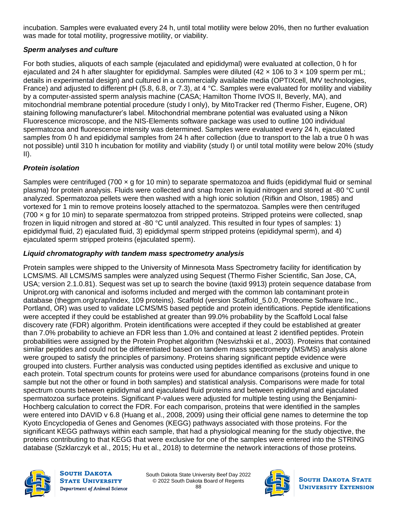incubation. Samples were evaluated every 24 h, until total motility were below 20%, then no further evaluation was made for total motility, progressive motility, or viability.

#### *Sperm analyses and culture*

For both studies, aliquots of each sample (ejaculated and epididymal) were evaluated at collection, 0 h for ejaculated and 24 h after slaughter for epididymal. Samples were diluted (42 x 106 to 3 x 109 sperm per mL; details in experimental design) and cultured in a commercially available media (OPTIXcell, IMV technologies, France) and adjusted to different pH (5.8, 6.8, or 7.3), at 4 °C. Samples were evaluated for motility and viability by a computer-assisted sperm analysis machine (CASA; Hamilton Thorne IVOS II, Beverly, MA), and mitochondrial membrane potential procedure (study I only), by MitoTracker red (Thermo Fisher, Eugene, OR) staining following manufacturer's label. Mitochondrial membrane potential was evaluated using a Nikon Fluorescence microscope, and the NIS-Elements software package was used to outline 100 individual spermatozoa and fluorescence intensity was determined. Samples were evaluated every 24 h, ejaculated samples from 0 h and epididymal samples from 24 h after collection (due to transport to the lab a true 0 h was not possible) until 310 h incubation for motility and viability (study I) or until total motility were below 20% (study II).

#### *Protein isolation*

Samples were centrifuged (700 × g for 10 min) to separate spermatozoa and fluids (epididymal fluid or seminal plasma) for protein analysis. Fluids were collected and snap frozen in liquid nitrogen and stored at -80 °C until analyzed. Spermatozoa pellets were then washed with a high ionic solution (Rifkin and Olson, 1985) and vortexed for 1 min to remove proteins loosely attached to the spermatozoa. Samples were then centrifuged (700 × g for 10 min) to separate spermatozoa from stripped proteins. Stripped proteins were collected, snap frozen in liquid nitrogen and stored at -80 °C until analyzed. This resulted in four types of samples: 1) epididymal fluid, 2) ejaculated fluid, 3) epididymal sperm stripped proteins (epididymal sperm), and 4) ejaculated sperm stripped proteins (ejaculated sperm).

#### *Liquid chromatography with tandem mass spectrometry analysis*

Protein samples were shipped to the University of Minnesota Mass Spectrometry facility for identification by LCMS/MS. All LCMS/MS samples were analyzed using Sequest (Thermo Fisher Scientific, San Jose, CA, USA; version 2.1.0.81). Sequest was set up to search the bovine (taxid 9913) protein sequence database from Uniprot.org with canonical and isoforms included and merged with the common lab contaminant protein database (thegpm.org/crap/index, 109 proteins). Scaffold (version Scaffold\_5.0.0, Proteome Software Inc., Portland, OR) was used to validate LCMS/MS based peptide and protein identifications. Peptide identifications were accepted if they could be established at greater than 99.0% probability by the Scaffold Local false discovery rate (FDR) algorithm. Protein identifications were accepted if they could be established at greater than 7.0% probability to achieve an FDR less than 1.0% and contained at least 2 identified peptides. Protein probabilities were assigned by the Protein Prophet algorithm (Nesvizhskii et al., 2003). Proteins that contained similar peptides and could not be differentiated based on tandem mass spectrometry (MS/MS) analysis alone were grouped to satisfy the principles of parsimony. Proteins sharing significant peptide evidence were grouped into clusters. Further analysis was conducted using peptides identified as exclusive and unique to each protein. Total spectrum counts for proteins were used for abundance comparisons (proteins found in one sample but not the other or found in both samples) and statistical analysis. Comparisons were made for total spectrum counts between epididymal and ejaculated fluid proteins and between epididymal and ejaculated spermatozoa surface proteins. Significant P-values were adjusted for multiple testing using the Benjamini-Hochberg calculation to correct the FDR. For each comparison, proteins that were identified in the samples were entered into DAVID v 6.8 (Huang et al., 2008, 2009) using their official gene names to determine the top Kyoto Encyclopedia of Genes and Genomes (KEGG) pathways associated with those proteins. For the significant KEGG pathways within each sample, that had a physiological meaning for the study objective, the proteins contributing to that KEGG that were exclusive for one of the samples were entered into the STRING database (Szklarczyk et al., 2015; Hu et al., 2018) to determine the network interactions of those proteins.



**SOUTH DAKOTA STATE UNIVERSITY** Department of Animal Science

South Dakota State University Beef Day 2022 © 2022 South Dakota Board of Regents 88

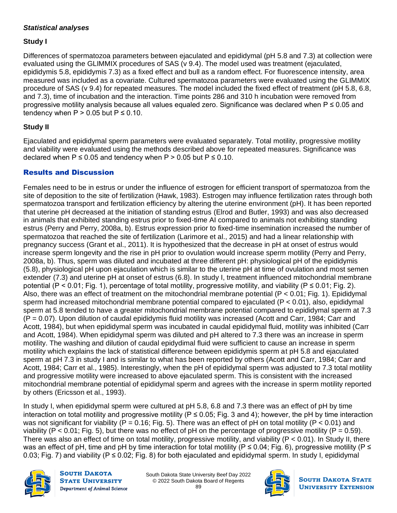#### *Statistical analyses*

#### **Study I**

Differences of spermatozoa parameters between ejaculated and epididymal (pH 5.8 and 7.3) at collection were evaluated using the GLIMMIX procedures of SAS (v 9.4). The model used was treatment (ejaculated, epididymis 5.8, epididymis 7.3) as a fixed effect and bull as a random effect. For fluorescence intensity, area measured was included as a covariate. Cultured spermatozoa parameters were evaluated using the GLIMMIX procedure of SAS (v 9.4) for repeated measures. The model included the fixed effect of treatment (pH 5.8, 6.8, and 7.3), time of incubation and the interaction. Time points 286 and 310 h incubation were removed from progressive motility analysis because all values equaled zero. Significance was declared when P ≤ 0.05 and tendency when  $P > 0.05$  but  $P \le 0.10$ .

#### **Study II**

Ejaculated and epididymal sperm parameters were evaluated separately. Total motility, progressive motility and viability were evaluated using the methods described above for repeated measures. Significance was declared when  $P \le 0.05$  and tendency when  $P > 0.05$  but  $P \le 0.10$ .

#### Results and Discussion

Females need to be in estrus or under the influence of estrogen for efficient transport of spermatozoa from the site of deposition to the site of fertilization (Hawk, 1983). Estrogen may influence fertilization rates through both spermatozoa transport and fertilization efficiency by altering the uterine environment (pH). It has been reported that uterine pH decreased at the initiation of standing estrus (Elrod and Butler, 1993) and was also decreased in animals that exhibited standing estrus prior to fixed-time AI compared to animals not exhibiting standing estrus (Perry and Perry, 2008a, b). Estrus expression prior to fixed-time insemination increased the number of spermatozoa that reached the site of fertilization (Larimore et al., 2015) and had a linear relationship with pregnancy success (Grant et al., 2011). It is hypothesized that the decrease in pH at onset of estrus would increase sperm longevity and the rise in pH prior to ovulation would increase sperm motility (Perry and Perry, 2008a, b). Thus, sperm was diluted and incubated at three different pH: physiological pH of the epididymis (5.8), physiological pH upon ejaculation which is similar to the uterine pH at time of ovulation and most semen extender (7.3) and uterine pH at onset of estrus (6.8). In study I, treatment influenced mitochondrial membrane potential (P < 0.01; Fig. 1), percentage of total motility, progressive motility, and viability (P  $\leq$  0.01; Fig. 2). Also, there was an effect of treatment on the mitochondrial membrane potential (P < 0.01; Fig. 1). Epididymal sperm had increased mitochondrial membrane potential compared to ejaculated ( $P < 0.01$ ), also, epididymal sperm at 5.8 tended to have a greater mitochondrial membrane potential compared to epididymal sperm at 7.3 (P = 0.07). Upon dilution of caudal epididymis fluid motility was increased (Acott and Carr, 1984; Carr and Acott, 1984), but when epididymal sperm was incubated in caudal epididymal fluid, motility was inhibited (Carr and Acott, 1984). When epididymal sperm was diluted and pH altered to 7.3 there was an increase in sperm motility. The washing and dilution of caudal epidydimal fluid were sufficient to cause an increase in sperm motility which explains the lack of statistical difference between epididymis sperm at pH 5.8 and ejaculated sperm at pH 7.3 in study I and is similar to what has been reported by others (Acott and Carr, 1984; Carr and Acott, 1984; Carr et al., 1985). Interestingly, when the pH of epididymal sperm was adjusted to 7.3 total motility and progressive motility were increased to above ejaculated sperm. This is consistent with the increased mitochondrial membrane potential of epididymal sperm and agrees with the increase in sperm motility reported by others (Ericsson et al., 1993).

In study I, when epididymal sperm were cultured at pH 5.8, 6.8 and 7.3 there was an effect of pH by time interaction on total motility and progressive motility ( $P \le 0.05$ ; Fig. 3 and 4); however, the pH by time interaction was not significant for viability (P = 0.16; Fig. 5). There was an effect of pH on total motility (P < 0.01) and viability (P < 0.01; Fig. 5), but there was no effect of pH on the percentage of progressive motility (P = 0.59). There was also an effect of time on total motility, progressive motility, and viability (P < 0.01). In Study II, there was an effect of pH, time and pH by time interaction for total motility ( $P \le 0.04$ ; Fig. 6), progressive motility ( $P \le$ 0.03; Fig. 7) and viability ( $P \le 0.02$ ; Fig. 8) for both ejaculated and epididymal sperm. In study I, epididymal



**SOUTH DAKOTA STATE UNIVERSITY Department of Animal Science** 

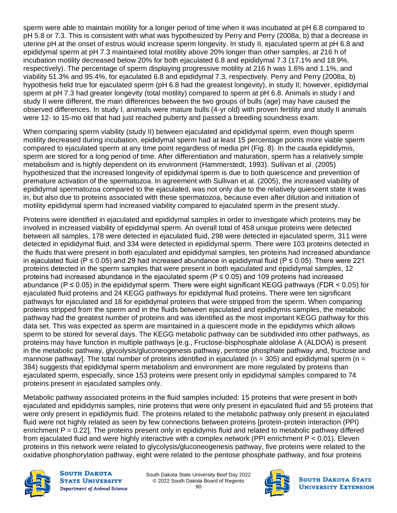sperm were able to maintain motility for a longer period of time when it was incubated at pH 6.8 compared to pH 5.8 or 7.3. This is consistent with what was hypothesized by Perry and Perry (2008a, b) that a decrease in uterine pH at the onset of estrus would increase sperm longevity. In study II, ejaculated sperm at pH 6.8 and epididymal sperm at pH 7.3 maintained total motility above 20% longer than other samples, at 216 h of incubation motility decreased below 20% for both ejaculated 6.8 and epididymal 7.3 (17.1% and 18.9%, respectively). The percentage of sperm displaying progressive motility at 216 h was 1.6% and 1.1%, and viability 51.3% and 95.4%, for ejaculated 6.8 and epididymal 7.3, respectively. Perry and Perry (2008a, b) hypothesis held true for ejaculated sperm (pH 6.8 had the greatest longevity), in study II; however, epididymal sperm at pH 7.3 had greater longevity (total motility) compared to sperm at pH 6.8. Animals in study I and study II were different, the main differences between the two groups of bulls (age) may have caused the observed differences. In study I, animals were mature bulls (4-yr old) with proven fertility and study II animals were 12- to 15-mo old that had just reached puberty and passed a breeding soundness exam.

When comparing sperm viability (study II) between ejaculated and epididymal sperm, even though sperm motility decreased during incubation, epididymal sperm had at least 15 percentage points more viable sperm compared to ejaculated sperm at any time point regardless of media pH (Fig. 8). In the cauda epididymis, sperm are stored for a long period of time. After differentiation and maturation, sperm has a relatively simple metabolism and is highly dependent on its environment (Hammerstedt, 1993). Sullivan et al. (2005) hypothesized that the increased longevity of epididymal sperm is due to both quiescence and prevention of premature activation of the spermatozoa. In agreement with Sullivan et al. (2005), the increased viability of epididymal spermatozoa compared to the ejaculated, was not only due to the relatively quiescent state it was in, but also due to proteins associated with these spermatozoa, because even after dilution and initiation of motility epididymal sperm had increased viability compared to ejaculated sperm in the present study.

Proteins were identified in ejaculated and epididymal samples in order to investigate which proteins may be involved in increased viability of epididymal sperm. An overall total of 458 unique proteins were detected between all samples, 178 were detected in ejaculated fluid, 298 were detected in ejaculated sperm, 311 were detected in epididymal fluid, and 334 were detected in epididymal sperm. There were 103 proteins detected in the fluids that were present in both ejaculated and epididymal samples, ten proteins had increased abundance in ejaculated fluid (P ≤ 0.05) and 29 had increased abundance in epididymal fluid (P ≤ 0.05). There were 221 proteins detected in the sperm samples that were present in both ejaculated and epididymal samples, 12 proteins had increased abundance in the ejaculated sperm ( $P \le 0.05$ ) and 109 proteins had increased abundance ( $P \le 0.05$ ) in the epididymal sperm. There were eight significant KEGG pathways (FDR < 0.05) for ejaculated fluid proteins and 24 KEGG pathways for epididymal fluid proteins. There were ten significant pathways for ejaculated and 18 for epididymal proteins that were stripped from the sperm. When comparing proteins stripped from the sperm and in the fluids between ejaculated and epididymis samples, the metabolic pathway had the greatest number of proteins and was identified as the most important KEGG pathway for this data set. This was expected as sperm are maintained in a quiescent mode in the epididymis which allows sperm to be stored for several days. The KEGG metabolic pathway can be subdivided into other pathways, as proteins may have function in multiple pathways [e.g., Fructose-bisphosphate aldolase A (ALDOA) is present in the metabolic pathway, glycolysis/gluconeogenesis pathway, pentose phosphate pathway and, fructose and mannose pathway]. The total number of proteins identified in ejaculated ( $n = 305$ ) and epididymal sperm ( $n =$ 384) suggests that epididymal sperm metabolism and environment are more regulated by proteins than ejaculated sperm, especially, since 153 proteins were present only in epididymal samples compared to 74 proteins present in ejaculated samples only.

Metabolic pathway associated proteins in the fluid samples included: 15 proteins that were present in both ejaculated and epididymis samples, nine proteins that were only present in ejaculated fluid and 55 proteins that were only present in epididymis fluid. The proteins related to the metabolic pathway only present in ejaculated fluid were not highly related as seen by few connections between proteins [protein-protein interaction (PPI) enrichment  $P = 0.22$ ]. The proteins present only in epididymis fluid and related to metabolic pathway differed from ejaculated fluid and were highly interactive with a complex network (PPI enrichment P < 0.01). Eleven proteins in this network were related to glycolysis/gluconeogenesis pathway, five proteins were related to the oxidative phosphorylation pathway, eight were related to the pentose phosphate pathway, and four proteins



**SOUTH DAKOTA STATE UNIVERSITY Department of Animal Science** 

South Dakota State University Beef Day 2022 © 2022 South Dakota Board of Regents 90

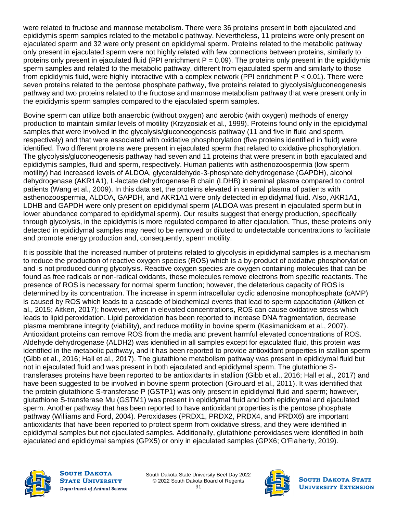were related to fructose and mannose metabolism. There were 36 proteins present in both ejaculated and epididymis sperm samples related to the metabolic pathway. Nevertheless, 11 proteins were only present on ejaculated sperm and 32 were only present on epididymal sperm. Proteins related to the metabolic pathway only present in ejaculated sperm were not highly related with few connections between proteins, similarly to proteins only present in ejaculated fluid (PPI enrichment  $P = 0.09$ ). The proteins only present in the epididymis sperm samples and related to the metabolic pathway, different from ejaculated sperm and similarly to those from epididymis fluid, were highly interactive with a complex network (PPI enrichment P < 0.01). There were seven proteins related to the pentose phosphate pathway, five proteins related to glycolysis/gluconeogenesis pathway and two proteins related to the fructose and mannose metabolism pathway that were present only in the epididymis sperm samples compared to the ejaculated sperm samples.

Bovine sperm can utilize both anaerobic (without oxygen) and aerobic (with oxygen) methods of energy production to maintain similar levels of motility (Krzyzosiak et al., 1999). Proteins found only in the epididymal samples that were involved in the glycolysis/gluconeogenesis pathway (11 and five in fluid and sperm, respectively) and that were associated with oxidative phosphorylation (five proteins identified in fluid) were identified. Two different proteins were present in ejaculated sperm that related to oxidative phosphorylation. The glycolysis/gluconeogenesis pathway had seven and 11 proteins that were present in both ejaculated and epididymis samples, fluid and sperm, respectively. Human patients with asthenozoospermia (low sperm motility) had increased levels of ALDOA, glyceraldehyde-3-phosphate dehydrogenase (GAPDH), alcohol dehydrogenase (AKR1A1), L-lactate dehydrogenase B chain (LDHB) in seminal plasma compared to control patients (Wang et al., 2009). In this data set, the proteins elevated in seminal plasma of patients with asthenozoospermia, ALDOA, GAPDH, and AKR1A1 were only detected in epididymal fluid. Also, AKR1A1, LDHB and GAPDH were only present on epididymal sperm (ALDOA was present in ejaculated sperm but in lower abundance compared to epididymal sperm). Our results suggest that energy production, specifically through glycolysis, in the epididymis is more regulated compared to after ejaculation. Thus, these proteins only detected in epididymal samples may need to be removed or diluted to undetectable concentrations to facilitate and promote energy production and, consequently, sperm motility.

It is possible that the increased number of proteins related to glycolysis in epididymal samples is a mechanism to reduce the production of reactive oxygen species (ROS) which is a by-product of oxidative phosphorylation and is not produced during glycolysis. Reactive oxygen species are oxygen containing molecules that can be found as free radicals or non-radical oxidants, these molecules remove electrons from specific reactants. The presence of ROS is necessary for normal sperm function; however, the deleterious capacity of ROS is determined by its concentration. The increase in sperm intracellular cyclic adenosine monophosphate (cAMP) is caused by ROS which leads to a cascade of biochemical events that lead to sperm capacitation (Aitken et al., 2015; Aitken, 2017); however, when in elevated concentrations, ROS can cause oxidative stress which leads to lipid peroxidation. Lipid peroxidation has been reported to increase DNA fragmentation, decrease plasma membrane integrity (viability), and reduce motility in bovine sperm (Kasimanickam et al., 2007). Antioxidant proteins can remove ROS from the media and prevent harmful elevated concentrations of ROS. Aldehyde dehydrogenase (ALDH2) was identified in all samples except for ejaculated fluid, this protein was identified in the metabolic pathway, and it has been reported to provide antioxidant properties in stallion sperm (Gibb et al., 2016; Hall et al., 2017). The glutathione metabolism pathway was present in epididymal fluid but not in ejaculated fluid and was present in both ejaculated and epididymal sperm. The glutathione Stransferases proteins have been reported to be antioxidants in stallion (Gibb et al., 2016; Hall et al., 2017) and have been suggested to be involved in bovine sperm protection (Girouard et al., 2011). It was identified that the protein glutathione S-transferase P (GSTP1) was only present in epididymal fluid and sperm; however, glutathione S-transferase Mu (GSTM1) was present in epididymal fluid and both epididymal and ejaculated sperm. Another pathway that has been reported to have antioxidant properties is the pentose phosphate pathway (Williams and Ford, 2004). Peroxidases (PRDX1, PRDX2, PRDX4, and PRDX6) are important antioxidants that have been reported to protect sperm from oxidative stress, and they were identified in epididymal samples but not ejaculated samples. Additionally, glutathione peroxidases were identified in both ejaculated and epididymal samples (GPX5) or only in ejaculated samples (GPX6; O'Flaherty, 2019).



**SOUTH DAKOTA STATE UNIVERSITY Department of Animal Science** 

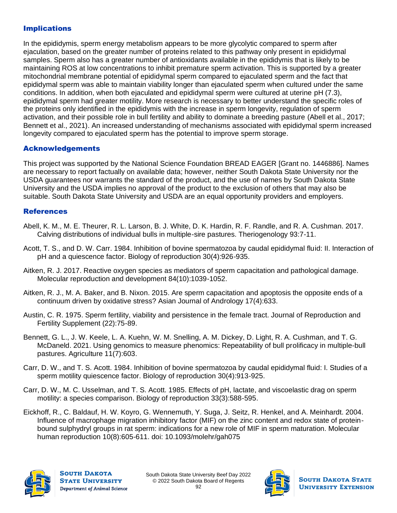#### Implications

In the epididymis, sperm energy metabolism appears to be more glycolytic compared to sperm after ejaculation, based on the greater number of proteins related to this pathway only present in epididymal samples. Sperm also has a greater number of antioxidants available in the epididymis that is likely to be maintaining ROS at low concentrations to inhibit premature sperm activation. This is supported by a greater mitochondrial membrane potential of epididymal sperm compared to ejaculated sperm and the fact that epididymal sperm was able to maintain viability longer than ejaculated sperm when cultured under the same conditions. In addition, when both ejaculated and epididymal sperm were cultured at uterine pH (7.3), epididymal sperm had greater motility. More research is necessary to better understand the specific roles of the proteins only identified in the epididymis with the increase in sperm longevity, regulation of sperm activation, and their possible role in bull fertility and ability to dominate a breeding pasture (Abell et al., 2017; Bennett et al., 2021). An increased understanding of mechanisms associated with epididymal sperm increased longevity compared to ejaculated sperm has the potential to improve sperm storage.

#### Acknowledgements

This project was supported by the National Science Foundation BREAD EAGER [Grant no. 1446886]. Names are necessary to report factually on available data; however, neither South Dakota State University nor the USDA guarantees nor warrants the standard of the product, and the use of names by South Dakota State University and the USDA implies no approval of the product to the exclusion of others that may also be suitable. South Dakota State University and USDA are an equal opportunity providers and employers.

#### **References**

- Abell, K. M., M. E. Theurer, R. L. Larson, B. J. White, D. K. Hardin, R. F. Randle, and R. A. Cushman. 2017. Calving distributions of individual bulls in multiple-sire pastures. Theriogenology 93:7-11.
- Acott, T. S., and D. W. Carr. 1984. Inhibition of bovine spermatozoa by caudal epididymal fluid: II. Interaction of pH and a quiescence factor. Biology of reproduction 30(4):926-935.
- Aitken, R. J. 2017. Reactive oxygen species as mediators of sperm capacitation and pathological damage. Molecular reproduction and development 84(10):1039-1052.
- Aitken, R. J., M. A. Baker, and B. Nixon. 2015. Are sperm capacitation and apoptosis the opposite ends of a continuum driven by oxidative stress? Asian Journal of Andrology 17(4):633.
- Austin, C. R. 1975. Sperm fertility, viability and persistence in the female tract. Journal of Reproduction and Fertility Supplement (22):75-89.
- Bennett, G. L., J. W. Keele, L. A. Kuehn, W. M. Snelling, A. M. Dickey, D. Light, R. A. Cushman, and T. G. McDaneld. 2021. Using genomics to measure phenomics: Repeatability of bull prolificacy in multiple-bull pastures. Agriculture 11(7):603.
- Carr, D. W., and T. S. Acott. 1984. Inhibition of bovine spermatozoa by caudal epididymal fluid: I. Studies of a sperm motility quiescence factor. Biology of reproduction 30(4):913-925.
- Carr, D. W., M. C. Usselman, and T. S. Acott. 1985. Effects of pH, lactate, and viscoelastic drag on sperm motility: a species comparison. Biology of reproduction 33(3):588-595.
- Eickhoff, R., C. Baldauf, H. W. Koyro, G. Wennemuth, Y. Suga, J. Seitz, R. Henkel, and A. Meinhardt. 2004. Influence of macrophage migration inhibitory factor (MIF) on the zinc content and redox state of proteinbound sulphydryl groups in rat sperm: indications for a new role of MIF in sperm maturation. Molecular human reproduction 10(8):605-611. doi: 10.1093/molehr/gah075



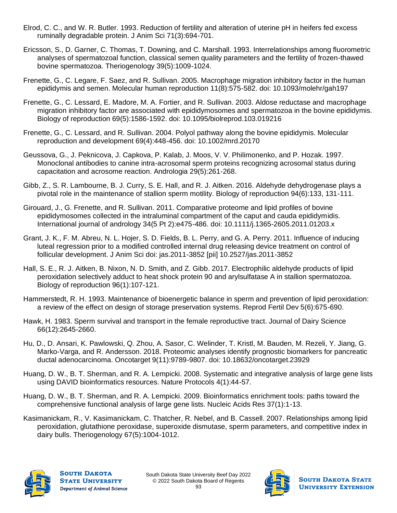- Elrod, C. C., and W. R. Butler. 1993. Reduction of fertility and alteration of uterine pH in heifers fed excess ruminally degradable protein. J Anim Sci 71(3):694-701.
- Ericsson, S., D. Garner, C. Thomas, T. Downing, and C. Marshall. 1993. Interrelationships among fluorometric analyses of spermatozoal function, classical semen quality parameters and the fertility of frozen-thawed bovine spermatozoa. Theriogenology 39(5):1009-1024.
- Frenette, G., C. Legare, F. Saez, and R. Sullivan. 2005. Macrophage migration inhibitory factor in the human epididymis and semen. Molecular human reproduction 11(8):575-582. doi: 10.1093/molehr/gah197
- Frenette, G., C. Lessard, E. Madore, M. A. Fortier, and R. Sullivan. 2003. Aldose reductase and macrophage migration inhibitory factor are associated with epididymosomes and spermatozoa in the bovine epididymis. Biology of reproduction 69(5):1586-1592. doi: 10.1095/biolreprod.103.019216
- Frenette, G., C. Lessard, and R. Sullivan. 2004. Polyol pathway along the bovine epididymis. Molecular reproduction and development 69(4):448-456. doi: 10.1002/mrd.20170
- Geussova, G., J. Peknicova, J. Capkova, P. Kalab, J. Moos, V. V. Philimonenko, and P. Hozak. 1997. Monoclonal antibodies to canine intra-acrosomal sperm proteins recognizing acrosomal status during capacitation and acrosome reaction. Andrologia 29(5):261-268.
- Gibb, Z., S. R. Lambourne, B. J. Curry, S. E. Hall, and R. J. Aitken. 2016. Aldehyde dehydrogenase plays a pivotal role in the maintenance of stallion sperm motility. Biology of reproduction 94(6):133, 131-111.
- Girouard, J., G. Frenette, and R. Sullivan. 2011. Comparative proteome and lipid profiles of bovine epididymosomes collected in the intraluminal compartment of the caput and cauda epididymidis. International journal of andrology 34(5 Pt 2):e475-486. doi: 10.1111/j.1365-2605.2011.01203.x
- Grant, J. K., F. M. Abreu, N. L. Hojer, S. D. Fields, B. L. Perry, and G. A. Perry. 2011. Influence of inducing luteal regression prior to a modified controlled internal drug releasing device treatment on control of follicular development. J Anim Sci doi: jas.2011-3852 [pii] 10.2527/jas.2011-3852
- Hall, S. E., R. J. Aitken, B. Nixon, N. D. Smith, and Z. Gibb. 2017. Electrophilic aldehyde products of lipid peroxidation selectively adduct to heat shock protein 90 and arylsulfatase A in stallion spermatozoa. Biology of reproduction 96(1):107-121.
- Hammerstedt, R. H. 1993. Maintenance of bioenergetic balance in sperm and prevention of lipid peroxidation: a review of the effect on design of storage preservation systems. Reprod Fertil Dev 5(6):675-690.
- Hawk, H. 1983. Sperm survival and transport in the female reproductive tract. Journal of Dairy Science 66(12):2645-2660.
- Hu, D., D. Ansari, K. Pawlowski, Q. Zhou, A. Sasor, C. Welinder, T. Kristl, M. Bauden, M. Rezeli, Y. Jiang, G. Marko-Varga, and R. Andersson. 2018. Proteomic analyses identify prognostic biomarkers for pancreatic ductal adenocarcinoma. Oncotarget 9(11):9789-9807. doi: 10.18632/oncotarget.23929
- Huang, D. W., B. T. Sherman, and R. A. Lempicki. 2008. Systematic and integrative analysis of large gene lists using DAVID bioinformatics resources. Nature Protocols 4(1):44-57.
- Huang, D. W., B. T. Sherman, and R. A. Lempicki. 2009. Bioinformatics enrichment tools: paths toward the comprehensive functional analysis of large gene lists. Nucleic Acids Res 37(1):1-13.
- Kasimanickam, R., V. Kasimanickam, C. Thatcher, R. Nebel, and B. Cassell. 2007. Relationships among lipid peroxidation, glutathione peroxidase, superoxide dismutase, sperm parameters, and competitive index in dairy bulls. Theriogenology 67(5):1004-1012.



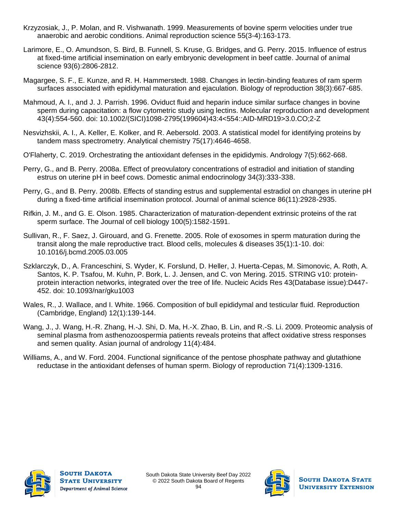- Krzyzosiak, J., P. Molan, and R. Vishwanath. 1999. Measurements of bovine sperm velocities under true anaerobic and aerobic conditions. Animal reproduction science 55(3-4):163-173.
- Larimore, E., O. Amundson, S. Bird, B. Funnell, S. Kruse, G. Bridges, and G. Perry. 2015. Influence of estrus at fixed-time artificial insemination on early embryonic development in beef cattle. Journal of animal science 93(6):2806-2812.
- Magargee, S. F., E. Kunze, and R. H. Hammerstedt. 1988. Changes in lectin-binding features of ram sperm surfaces associated with epididymal maturation and ejaculation. Biology of reproduction 38(3):667-685.
- Mahmoud, A. I., and J. J. Parrish. 1996. Oviduct fluid and heparin induce similar surface changes in bovine sperm during capacitation: a flow cytometric study using lectins. Molecular reproduction and development 43(4):554-560. doi: 10.1002/(SICI)1098-2795(199604)43:4<554::AID-MRD19>3.0.CO;2-Z
- Nesvizhskii, A. I., A. Keller, E. Kolker, and R. Aebersold. 2003. A statistical model for identifying proteins by tandem mass spectrometry. Analytical chemistry 75(17):4646-4658.
- O'Flaherty, C. 2019. Orchestrating the antioxidant defenses in the epididymis. Andrology 7(5):662-668.
- Perry, G., and B. Perry. 2008a. Effect of preovulatory concentrations of estradiol and initiation of standing estrus on uterine pH in beef cows. Domestic animal endocrinology 34(3):333-338.
- Perry, G., and B. Perry. 2008b. Effects of standing estrus and supplemental estradiol on changes in uterine pH during a fixed-time artificial insemination protocol. Journal of animal science 86(11):2928-2935.
- Rifkin, J. M., and G. E. Olson. 1985. Characterization of maturation-dependent extrinsic proteins of the rat sperm surface. The Journal of cell biology 100(5):1582-1591.
- Sullivan, R., F. Saez, J. Girouard, and G. Frenette. 2005. Role of exosomes in sperm maturation during the transit along the male reproductive tract. Blood cells, molecules & diseases 35(1):1-10. doi: 10.1016/j.bcmd.2005.03.005
- Szklarczyk, D., A. Franceschini, S. Wyder, K. Forslund, D. Heller, J. Huerta-Cepas, M. Simonovic, A. Roth, A. Santos, K. P. Tsafou, M. Kuhn, P. Bork, L. J. Jensen, and C. von Mering. 2015. STRING v10: proteinprotein interaction networks, integrated over the tree of life. Nucleic Acids Res 43(Database issue):D447- 452. doi: 10.1093/nar/gku1003
- Wales, R., J. Wallace, and I. White. 1966. Composition of bull epididymal and testicular fluid. Reproduction (Cambridge, England) 12(1):139-144.
- Wang, J., J. Wang, H.-R. Zhang, H.-J. Shi, D. Ma, H.-X. Zhao, B. Lin, and R.-S. Li. 2009. Proteomic analysis of seminal plasma from asthenozoospermia patients reveals proteins that affect oxidative stress responses and semen quality. Asian journal of andrology 11(4):484.
- Williams, A., and W. Ford. 2004. Functional significance of the pentose phosphate pathway and glutathione reductase in the antioxidant defenses of human sperm. Biology of reproduction 71(4):1309-1316.



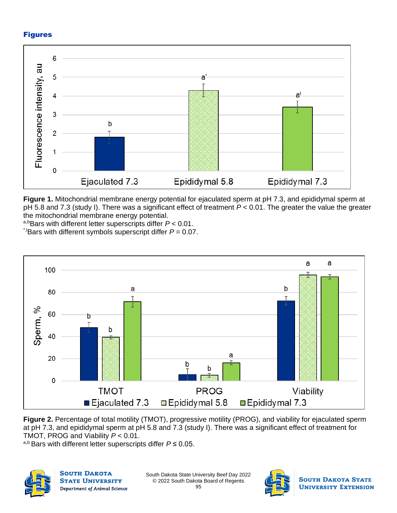#### Figures



**Figure 1.** Mitochondrial membrane energy potential for ejaculated sperm at pH 7.3, and epididymal sperm at pH 5.8 and 7.3 (study I). There was a significant effect of treatment *P* < 0.01. The greater the value the greater the mitochondrial membrane energy potential.

a,bBars with different letter superscripts differ *P* < 0.01.  $*$ <sup>t</sup>Bars with different symbols superscript differ  $P = 0.07$ .



**Figure 2.** Percentage of total motility (TMOT), progressive motility (PROG), and viability for ejaculated sperm at pH 7.3, and epididymal sperm at pH 5.8 and 7.3 (study I). There was a significant effect of treatment for TMOT, PROG and Viability *P* < 0.01.

a,b Bars with different letter superscripts differ *P* ≤ 0.05.



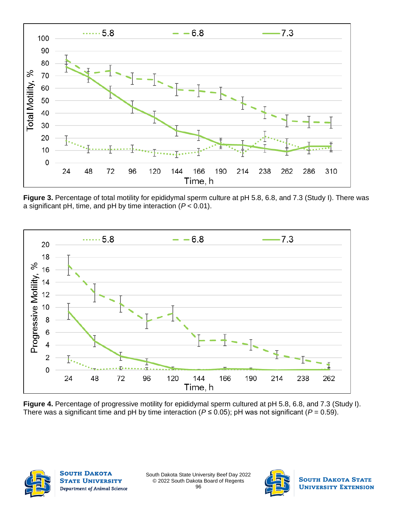

**Figure 3.** Percentage of total motility for epididymal sperm culture at pH 5.8, 6.8, and 7.3 (Study I). There was a significant pH, time, and pH by time interaction (*P* < 0.01).



**Figure 4.** Percentage of progressive motility for epididymal sperm cultured at pH 5.8, 6.8, and 7.3 (Study I). There was a significant time and pH by time interaction ( $P \le 0.05$ ); pH was not significant ( $P = 0.59$ ).



**SOUTH DAKOTA STATE UNIVERSITY** Department of Animal Science

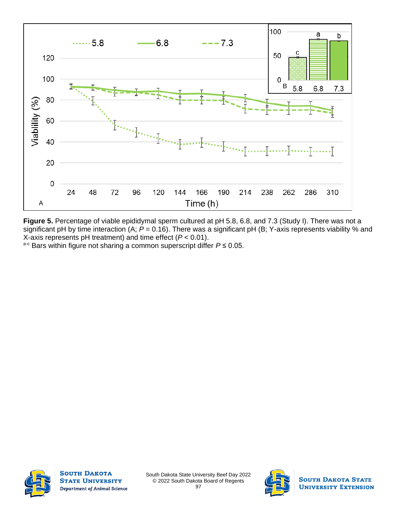

**Figure 5.** Percentage of viable epididymal sperm cultured at pH 5.8, 6.8, and 7.3 (Study I). There was not a significant pH by time interaction (A; *P* = 0.16). There was a significant pH (B; Y-axis represents viability % and X-axis represents pH treatment) and time effect (*P* < 0.01).

a-c Bars within figure not sharing a common superscript differ *P* ≤ 0.05.



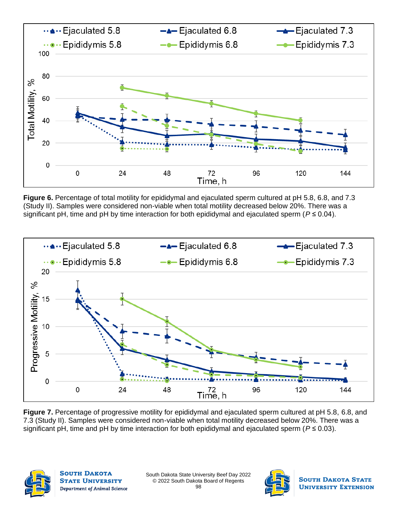

**Figure 6.** Percentage of total motility for epididymal and ejaculated sperm cultured at pH 5.8, 6.8, and 7.3 (Study II). Samples were considered non-viable when total motility decreased below 20%. There was a significant pH, time and pH by time interaction for both epididymal and ejaculated sperm (*P* ≤ 0.04).



**Figure 7.** Percentage of progressive motility for epididymal and ejaculated sperm cultured at pH 5.8, 6.8, and 7.3 (Study II). Samples were considered non-viable when total motility decreased below 20%. There was a significant pH, time and pH by time interaction for both epididymal and ejaculated sperm (*P* ≤ 0.03).



**SOUTH DAKOTA STATE UNIVERSITY** Department of Animal Science